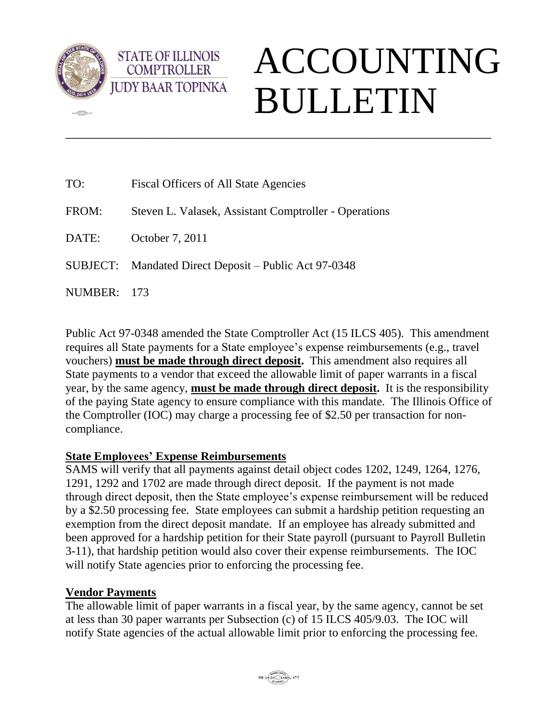

**della** 

## ACCOUNTING BULLETIN

| TO:     | Fiscal Officers of All State Agencies                 |
|---------|-------------------------------------------------------|
| FROM:   | Steven L. Valasek, Assistant Comptroller - Operations |
| DATE:   | October 7, 2011                                       |
|         | SUBJECT: Mandated Direct Deposit – Public Act 97-0348 |
| NUMBER: | - 173                                                 |

Public Act 97-0348 amended the State Comptroller Act (15 ILCS 405). This amendment requires all State payments for a State employee's expense reimbursements (e.g., travel vouchers) **must be made through direct deposit.** This amendment also requires all State payments to a vendor that exceed the allowable limit of paper warrants in a fiscal year, by the same agency, **must be made through direct deposit.** It is the responsibility of the paying State agency to ensure compliance with this mandate. The Illinois Office of the Comptroller (IOC) may charge a processing fee of \$2.50 per transaction for noncompliance.

\_\_\_\_\_\_\_\_\_\_\_\_\_\_\_\_\_\_\_\_\_\_\_\_\_\_\_\_\_\_\_\_\_\_\_\_\_\_\_\_\_\_\_\_\_\_\_\_\_\_\_\_\_\_\_\_\_\_\_\_\_\_\_\_\_\_\_\_\_\_

## **State Employees' Expense Reimbursements**

**STATE OF ILLINOIS COMPTROLLER** 

SAMS will verify that all payments against detail object codes 1202, 1249, 1264, 1276, 1291, 1292 and 1702 are made through direct deposit. If the payment is not made through direct deposit, then the State employee's expense reimbursement will be reduced by a \$2.50 processing fee. State employees can submit a hardship petition requesting an exemption from the direct deposit mandate. If an employee has already submitted and been approved for a hardship petition for their State payroll (pursuant to Payroll Bulletin 3-11), that hardship petition would also cover their expense reimbursements. The IOC will notify State agencies prior to enforcing the processing fee.

## **Vendor Payments**

The allowable limit of paper warrants in a fiscal year, by the same agency, cannot be set at less than 30 paper warrants per Subsection (c) of 15 ILCS 405/9.03. The IOC will notify State agencies of the actual allowable limit prior to enforcing the processing fee.